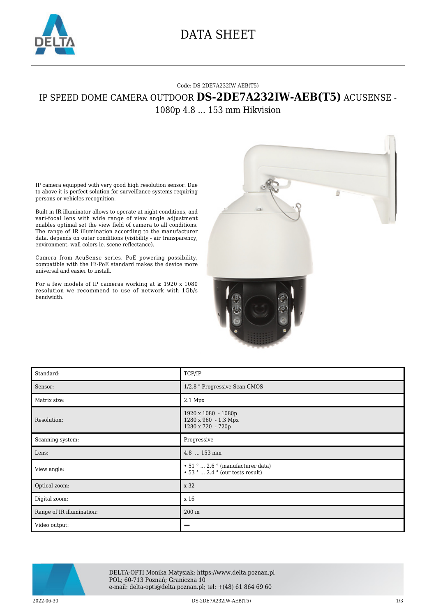

## DATA SHEET

## Code: DS-2DE7A232IW-AEB(T5) IP SPEED DOME CAMERA OUTDOOR **DS-2DE7A232IW-AEB(T5)** ACUSENSE -

1080p 4.8 ... 153 mm Hikvision

IP camera equipped with very good high resolution sensor. Due to above it is perfect solution for surveillance systems requiring persons or vehicles recognition.

Built-in IR illuminator allows to operate at night conditions, and vari-focal lens with wide range of view angle adjustment enables optimal set the view field of camera to all conditions. The range of IR illumination according to the manufacturer data, depends on outer conditions (visibility - air transparency, environment, wall colors ie. scene reflectance).

Camera from AcuSense series. PoE powering possibility, compatible with the Hi-PoE standard makes the device more universal and easier to install.

For a few models of IP cameras working at  $\geq$  1920 x 1080 resolution we recommend to use of network with 1Gb/s bandwidth.



| Standard:                 | TCP/IP                                                                            |
|---------------------------|-----------------------------------------------------------------------------------|
| Sensor:                   | 1/2.8 " Progressive Scan CMOS                                                     |
| Matrix size:              | $2.1$ Mpx                                                                         |
| Resolution:               | 1920 x 1080 - 1080p<br>1280 x 960 - 1.3 Mpx<br>1280 x 720 - 720p                  |
| Scanning system:          | Progressive                                                                       |
| Lens:                     | 4.8  153 mm                                                                       |
| View angle:               | $\cdot$ 51 °  2.6 ° (manufacturer data)<br>$\cdot$ 53 °  2.4 ° (our tests result) |
| Optical zoom:             | x 32                                                                              |
| Digital zoom:             | x 16                                                                              |
| Range of IR illumination: | 200 m                                                                             |
| Video output:             |                                                                                   |



DELTA-OPTI Monika Matysiak; https://www.delta.poznan.pl POL; 60-713 Poznań; Graniczna 10 e-mail: delta-opti@delta.poznan.pl; tel: +(48) 61 864 69 60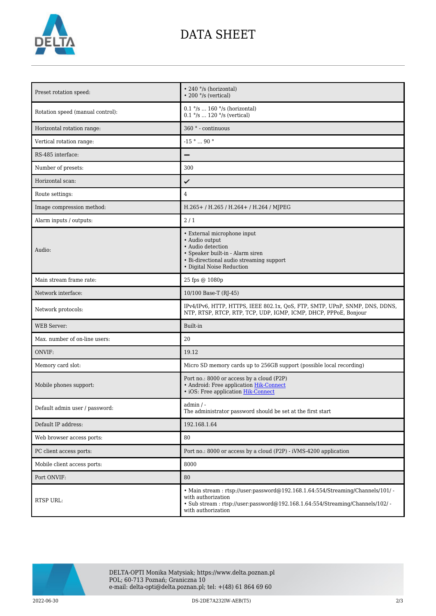

## DATA SHEET

| Preset rotation speed:           | • 240 °/s (horizontal)<br>$\cdot$ 200 $\degree$ /s (vertical)                                                                                                                                               |
|----------------------------------|-------------------------------------------------------------------------------------------------------------------------------------------------------------------------------------------------------------|
| Rotation speed (manual control): | $0.1$ °/s  160 °/s (horizontal)<br>$0.1$ $\degree$ /s  120 $\degree$ /s (vertical)                                                                                                                          |
| Horizontal rotation range:       | 360 <sup>°</sup> - continuous                                                                                                                                                                               |
| Vertical rotation range:         | $-15$ $^{\circ}$ $\ldots$ $90$ $^{\circ}$                                                                                                                                                                   |
| RS-485 interface:                |                                                                                                                                                                                                             |
| Number of presets:               | 300                                                                                                                                                                                                         |
| Horizontal scan:                 | ✓                                                                                                                                                                                                           |
| Route settings:                  | $\overline{4}$                                                                                                                                                                                              |
| Image compression method:        | H.265+/H.265/H.264+/H.264/MJPEG                                                                                                                                                                             |
| Alarm inputs / outputs:          | 2/1                                                                                                                                                                                                         |
| Audio:                           | • External microphone input<br>• Audio output<br>• Audio detection<br>• Speaker built-in - Alarm siren<br>• Bi-directional audio streaming support<br>• Digital Noise Reduction                             |
| Main stream frame rate:          | 25 fps @ 1080p                                                                                                                                                                                              |
| Network interface:               | 10/100 Base-T (RJ-45)                                                                                                                                                                                       |
| Network protocols:               | IPv4/IPv6, HTTP, HTTPS, IEEE 802.1x, QoS, FTP, SMTP, UPnP, SNMP, DNS, DDNS,<br>NTP, RTSP, RTCP, RTP, TCP, UDP, IGMP, ICMP, DHCP, PPPoE, Bonjour                                                             |
| <b>WEB</b> Server:               | Built-in                                                                                                                                                                                                    |
| Max. number of on-line users:    | 20                                                                                                                                                                                                          |
| ONVIF:                           | 19.12                                                                                                                                                                                                       |
| Memory card slot:                | Micro SD memory cards up to 256GB support (possible local recording)                                                                                                                                        |
| Mobile phones support:           | Port no.: 8000 or access by a cloud (P2P)<br>• Android: Free application Hik-Connect<br>· iOS: Free application Hik-Connect                                                                                 |
| Default admin user / password:   | $admin / -$<br>The administrator password should be set at the first start                                                                                                                                  |
| Default IP address:              | 192.168.1.64                                                                                                                                                                                                |
| Web browser access ports:        | 80                                                                                                                                                                                                          |
| PC client access ports:          | Port no.: 8000 or access by a cloud (P2P) - iVMS-4200 application                                                                                                                                           |
| Mobile client access ports:      | 8000                                                                                                                                                                                                        |
| Port ONVIF:                      | 80                                                                                                                                                                                                          |
| RTSP URL:                        | • Main stream: rtsp://user:password@192.168.1.64:554/Streaming/Channels/101/ -<br>with authorization<br>· Sub stream: rtsp://user:password@192.168.1.64:554/Streaming/Channels/102/ -<br>with authorization |